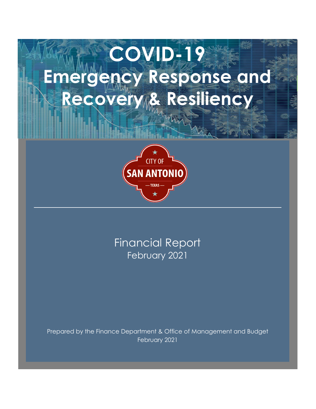# **COVID-19 Emergency Response and Recovery & Resiliency**



February 2021 Financial Report

Prepared by the Finance Department & Office of Management and Budget February 2021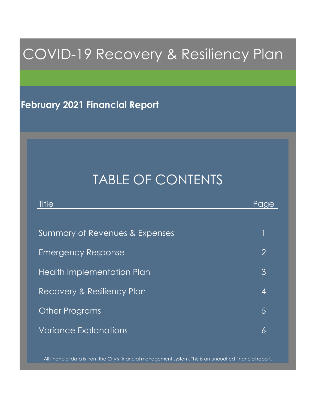# COVID-19 Recovery & Resiliency Plan

## **February 2021 Financial Report**

# TABLE OF CONTENTS

| Title                             | Page           |
|-----------------------------------|----------------|
|                                   |                |
| Summary of Revenues & Expenses    |                |
| <b>Emergency Response</b>         | $\overline{2}$ |
| <b>Health Implementation Plan</b> | 3              |
| Recovery & Resiliency Plan        | 4              |
| <b>Other Programs</b>             | $\overline{5}$ |
| <b>Variance Explanations</b>      | 6              |

All financial data is from the City's financial management system. This is an unaudited financial report.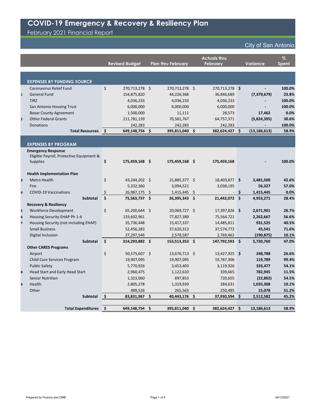|                         |                                          | <b>Revised Budget</b>  | <b>Plan thru February</b> |                     | <b>Actuals thru</b><br><b>February</b> | <b>Variance</b>      | $\%$<br><b>Spent</b> |
|-------------------------|------------------------------------------|------------------------|---------------------------|---------------------|----------------------------------------|----------------------|----------------------|
|                         |                                          |                        |                           |                     |                                        |                      |                      |
|                         |                                          |                        |                           |                     |                                        |                      |                      |
|                         | <b>EXPENSES BY FUNDING SOURCE</b>        |                        |                           |                     |                                        |                      |                      |
|                         | <b>Coronavirus Relief Fund</b>           | \$<br>270,713,278 \$   | 270,713,278 \$            |                     | 270,713,278 \$                         |                      | 100.0%               |
| $\mathbf{1}$            | <b>General Fund</b>                      | 154,875,820            | 44,226,368                |                     | 36,846,689                             | (7, 379, 679)        | 23.8%                |
|                         | <b>TIRZ</b>                              | 4,036,233              | 4,036,233                 |                     | 4,036,233                              |                      | 100.0%               |
|                         | San Antonio Housing Trust                | 6,000,000              | 6,000,000                 |                     | 6,000,000                              |                      | 100.0%               |
|                         | <b>Bexar County Agreement</b>            | 1,500,000              | 11,111                    |                     | 28,573                                 | 17,462               | 0.0%                 |
| $\overline{2}$          | <b>Other Federal Grants</b>              | 211,781,139            | 70,581,767                |                     | 64,757,371                             | (5,824,395)          | 30.6%                |
|                         | Donations                                | 242,283                | 242,283                   |                     | 242,283                                |                      | 100.0%               |
|                         | <b>Total Resources</b>                   | \$<br>649,148,754      | \$<br>395,811,040         | \$                  | 382,624,427                            | \$<br>(13, 186, 613) | 58.9%                |
|                         |                                          |                        |                           |                     |                                        |                      |                      |
|                         | <b>EXPENSES BY PROGRAM</b>               |                        |                           |                     |                                        |                      |                      |
|                         | <b>Emergency Response</b>                |                        |                           |                     |                                        |                      |                      |
|                         | Eligible Payroll, Protective Equipment & |                        |                           |                     |                                        |                      |                      |
|                         | <b>Supplies</b>                          | \$<br>175,459,168 \$   | 175,459,168 \$            |                     | 175,459,168                            |                      | 100.0%               |
|                         |                                          |                        |                           |                     |                                        |                      |                      |
|                         | <b>Health Implementation Plan</b>        |                        |                           |                     |                                        |                      |                      |
| $\overline{\mathbf{3}}$ | <b>Metro Health</b>                      | \$<br>43,244,202 \$    | 21,885,377 \$             |                     | 18,403,877 \$                          | 3,481,500            | 42.6%                |
|                         | Fire                                     | 5,332,360              | 3,094,521                 |                     | 3,038,195                              | 56,327               | 57.0%                |
| 4                       | <b>COVID-19 Vaccinations</b>             | \$<br>26,987,175 \$    | $1,415,445$ \$            |                     |                                        | \$<br>1,415,445      | 0.0%                 |
|                         | <b>Subtotal</b>                          | \$<br>75,563,737 \$    | 26,395,343                | $\ddot{\bm{\zeta}}$ | 21,442,072 \$                          | 4,953,271            | 28.4%                |
|                         | <b>Recovery &amp; Resiliency</b>         |                        |                           |                     |                                        |                      |                      |
| 5                       | Workforce Development                    | \$<br>65,200,644 \$    | 20,069,727                | -\$                 | 17,397,826 \$                          | 2,671,901            | 26.7%                |
| 6                       | Housing Security EHAP Ph 1-4             | 133,602,961            | 77,827,389                |                     | 75,564,721                             | 2,262,667            | 56.6%                |
| $\overline{\mathbf{z}}$ | Housing Security (not including EHAP)    | 35,736,448             | 15,417,337                |                     | 14,485,811                             | 931,525              | 40.5%                |
|                         | <b>Small Business</b>                    | 52,456,283             | 37,620,313                |                     | 37,574,772                             | 45,541               | 71.6%                |
|                         | Digital Inclusion                        | 27,297,546             | 2,578,587                 |                     | 2,769,462                              | (190, 875)           | 10.1%                |
|                         | Subtotal                                 | \$<br>314,293,882 \$   | 153,513,353 \$            |                     | 147,792,593 \$                         | 5,720,760            | 47.0%                |
|                         | <b>Other CARES Programs</b>              |                        |                           |                     |                                        |                      |                      |
|                         | Airport                                  | \$<br>50,575,607 \$    | 13,676,713 \$             |                     | 13,427,925 \$                          | 248,788              | 26.6%                |
|                         | Child Care Services Program              | 19,907,095             | 19,907,095                |                     | 19,787,306                             | 119,789              | 99.4%                |
|                         | <b>Public Safety</b>                     | 5,770,926              | 3,453,403                 |                     | 3,119,926                              | 333,477              | 54.1%                |
| $\pmb{8}$               | Head Start and Early Head Start          | 2,960,475              | 1,122,610                 |                     | 339,665                                | 782,945              | 11.5%                |
|                         | <b>Senior Nutrition</b>                  | 1,323,060              | 697,853                   |                     | 720,655                                | (22, 802)            | 54.5%                |
| $\boldsymbol{9}$        | Health                                   | 2,805,278              | 1,319,939                 |                     | 284,631                                | 1,035,308            | 10.1%                |
|                         | Other                                    | 489,526                | 265,563                   |                     | 250,485                                | 15,078               | 51.2%                |
|                         | Subtotal                                 | \$<br>83,831,967 \$    | 40,443,176 \$             |                     | 37,930,594 \$                          | 2,512,582            | 45.2%                |
|                         | <b>Total Expenditures</b>                | 649,148,754 \$<br>  \$ | 395,811,040 \$            |                     | 382,624,427 \$                         | 13,186,613           | 58.9%                |
|                         |                                          |                        |                           |                     |                                        |                      |                      |

Prepared by Finance and OMB 04/13/2021

# **COVID-19 Emergency & Recovery & Resiliency Plan**

February 2021 Financial Report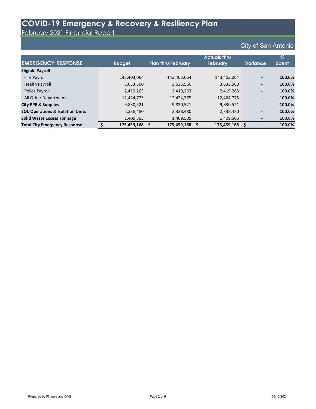February 2021 Financial Report

|                                             |               | <b>Actuals thru</b>       |                 |                 |              |  |  |  |  |  |
|---------------------------------------------|---------------|---------------------------|-----------------|-----------------|--------------|--|--|--|--|--|
| <b>EMERGENCY RESPONSE</b>                   | <b>Budget</b> | <b>Plan thru February</b> | <b>February</b> | <b>Variance</b> | <b>Spent</b> |  |  |  |  |  |
| <b>Eligible Payroll</b>                     |               |                           |                 |                 |              |  |  |  |  |  |
| Fire Payroll                                | 143,403,064   | 143,403,064               | 143,403,064     | $\blacksquare$  | 100.0%       |  |  |  |  |  |
| <b>Health Payroll</b>                       | 3,633,560     | 3,633,560                 | 3,633,560       | $\blacksquare$  | 100.0%       |  |  |  |  |  |
| Police Payroll                              | 2,419,263     | 2,419,263                 | 2,419,263       | $\blacksquare$  | 100.0%       |  |  |  |  |  |
| All Other Departments                       | 12,424,775    | 12,424,775                | 12,424,775      | $\blacksquare$  | 100.0%       |  |  |  |  |  |
| <b>City PPE &amp; Supplies</b>              | 9,830,521     | 9,830,521                 | 9,830,521       | $\blacksquare$  | 100.0%       |  |  |  |  |  |
| <b>EOC Operations &amp; Isolation Units</b> | 2,338,480     | 2,338,480                 | 2,338,480       | $\blacksquare$  | 100.0%       |  |  |  |  |  |
| <b>Solid Waste Excess Tonnage</b>           | 1,409,505     | 1,409,505                 | 1,409,505       | $\blacksquare$  | 100.0%       |  |  |  |  |  |
| <b>Total City Emergency Response</b>        | 175,459,168   | 175,459,168               | 175,459,168     |                 | 100.0%       |  |  |  |  |  |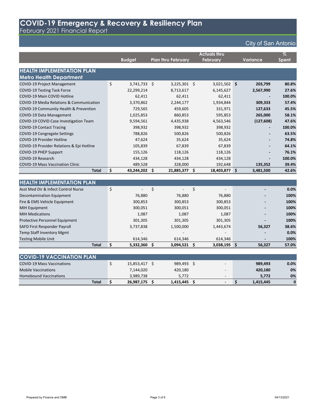February 2021 Financial Report

### City of San Antonio

|                                                     |         |                |                           |             | <b>Actuals thru</b> |                 | $\overline{\%}$ |
|-----------------------------------------------------|---------|----------------|---------------------------|-------------|---------------------|-----------------|-----------------|
|                                                     |         | <b>Budget</b>  | <b>Plan thru February</b> |             | <b>February</b>     | <b>Variance</b> | <b>Spent</b>    |
|                                                     |         |                |                           |             |                     |                 |                 |
| <b>HEALTH IMPLEMENTATION PLAN</b>                   |         |                |                           |             |                     |                 |                 |
| <b>Metro Health Department</b>                      |         |                |                           |             |                     |                 |                 |
| <b>COVID-19 Project Management</b>                  | $\zeta$ | $3,741,733$ \$ | $3,225,301$ \$            |             | $3,021,502$ \$      | 203,799         | 80.8%           |
| <b>COVID-19 Testing Task Force</b>                  |         | 22,299,214     | 8,713,617                 |             | 6,145,627           | 2,567,990       | 27.6%           |
| COVID-19 Main COVID Hotline                         |         | 62,411         | 62,411                    |             | 62,411              |                 | 100.0%          |
| <b>COVID-19 Media Relations &amp; Communication</b> |         | 3,370,862      | 2,244,177                 |             | 1,934,844           | 309,333         | 57.4%           |
| COVID-19 Community Health & Prevention              |         | 729,565        | 459,605                   |             | 331,971             | 127,633         | 45.5%           |
| COVID-19 Data Management                            |         | 1,025,853      | 860,853                   |             | 595,853             | 265,000         | 58.1%           |
| COVID-19 COVID Case Investigation Team              |         | 9,594,561      | 4,435,938                 |             | 4,563,546           | (127, 608)      | 47.6%           |
| <b>COVID-19 Contact Tracing</b>                     |         | 398,932        | 398,932                   |             | 398,932             |                 | 100.0%          |
| <b>COVID-19 Congregate Settings</b>                 |         | 788,826        | 500,826                   |             | 500,826             |                 | 63.5%           |
| <b>COVID-19 Provider Hotline</b>                    |         | 47,624         | 35,624                    |             | 35,624              | $\blacksquare$  | 74.8%           |
| COVID-19 Provider Relations & Epi Hotline           |         | 105,839        | 67,839                    |             | 67,839              |                 | 64.1%           |
| <b>COVID-19 PHEP Support</b>                        |         | 155,126        | 118,126                   |             | 118,126             |                 | 76.1%           |
| <b>COVID-19 Research</b>                            |         | 434,128        | 434,128                   |             | 434,128             |                 | 100.0%          |
| <b>COVID-19 Mass Vaccination Clinic</b>             |         | 489,528        | 328,000                   |             | 192,648             | 135,352         | 39.4%           |
| <b>Total</b>                                        | \$      | 43,244,202     | \$<br>21,885,377          | \$          | 18,403,877          | \$<br>3,481,500 | 42.6%           |
|                                                     |         |                |                           |             |                     |                 |                 |
| <b>HEALTH IMPLEMENTATION PLAN</b>                   |         |                |                           |             |                     |                 |                 |
| Asst Med Dir & Infect Control Nurse                 | $\zeta$ |                | \$                        | $\varsigma$ |                     |                 | 0.0%            |
| Decontamination Equipment                           |         | 76,880         | 76,880                    |             | 76,880              |                 | 100%            |
| Fire & EMS Vehicle Equipment                        |         | 300,853        | 300,853                   |             | 300,853             |                 | 100%            |
| <b>MIH Equipment</b>                                |         | 300,051        | 300,051                   |             | 300,051             |                 | 100%            |
| <b>MIH Medications</b>                              |         | 1,087          | 1,087                     |             | 1,087               |                 | 100%            |
| Protective Personnel Equipment                      |         | 301,305        | 301,305                   |             | 301,305             |                 | 100%            |
| SAFD First Responder Payroll                        |         | 3,737,838      | 1,500,000                 |             | 1,443,674           | 56,327          | 38.6%           |
| <b>Temp Staff Inventory Mgmt</b>                    |         |                |                           |             |                     |                 | 0.0%            |
| <b>Testing Mobile Unit</b>                          |         | 614,346        | 614,346                   |             | 614,346             |                 | 100%            |
| <b>Total</b>                                        | \$      | $5,332,360$ \$ | $3,094,521$ \$            |             | $3,038,195$ \$      | 56,327          | 57.0%           |
|                                                     |         |                |                           |             |                     |                 |                 |
| <b>COVID-19 VACCINATION PLAN</b>                    |         |                |                           |             |                     |                 |                 |
| <b>COVID-19 Mass Vaccinations</b>                   | $\zeta$ | 15,853,417 \$  | 989,493 \$                |             |                     | 989,493         | 0.0%            |
| <b>Mobile Vaccinations</b>                          |         | 7,144,020      | 420,180                   |             |                     | 420,180         | 0%              |

Homebound Vaccinations **1989,738** 5,772 5,772 5,772 6% **Total \$ 26,987,175 \$ 1,415,445 \$ - \$ 1,415,445 0**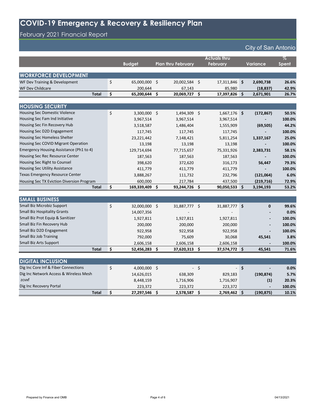# February 2021 Financial Report

|                                           | <b>Budget</b>     |             | <b>Plan thru February</b> |         | <b>Actuals thru</b><br><b>February</b> | <b>Variance</b>   | $\overline{\%}$<br><b>Spent</b> |
|-------------------------------------------|-------------------|-------------|---------------------------|---------|----------------------------------------|-------------------|---------------------------------|
|                                           |                   |             |                           |         |                                        |                   |                                 |
| <b>WORKFORCE DEVELOPMENT</b>              |                   |             |                           |         |                                        |                   |                                 |
| WF Dev Training & Development             | \$<br>65,000,000  | \$          | 20,002,584 \$             |         | 17,311,846                             | \$<br>2,690,738   | 26.6%                           |
| WF Dev Childcare                          | 200,644           |             | 67,143                    |         | 85,980                                 | (18, 837)         | 42.9%                           |
| <b>Total</b>                              | \$<br>65,200,644  | \$          | 20,069,727 \$             |         | 17,397,826                             | \$<br>2,671,901   | 26.7%                           |
|                                           |                   |             |                           |         |                                        |                   |                                 |
| <b>HOUSING SECURITY</b>                   |                   |             |                           |         |                                        |                   |                                 |
| Housing Sec Domestic Violence             | \$<br>3,300,000   | $\zeta$     | 1,494,309 \$              |         | $1,667,176$ \$                         | (172, 867)        | 50.5%                           |
| Housing Sec Fam Ind Initiative            | 3,967,514         |             | 3,967,514                 |         | 3,967,514                              |                   | 100.0%                          |
| Housing Sec Fin Recovery Hub              | 3,518,587         |             | 1,486,404                 |         | 1,555,909                              | (69, 505)         | 44.2%                           |
| Housing Sec D2D Engagement                | 117,745           |             | 117,745                   |         | 117,745                                |                   | 100.0%                          |
| Housing Sec Homeless Shelter              | 23, 221, 442      |             | 7,148,421                 |         | 5,811,254                              | 1,337,167         | 25.0%                           |
| Housing Sec COVID Migrant Operation       | 13,198            |             | 13,198                    |         | 13,198                                 |                   | 100.0%                          |
| Emergency Housing Assistance (Ph1 to 4)   | 129,714,694       |             | 77,715,657                |         | 75,331,926                             | 2,383,731         | 58.1%                           |
| Housing Sec Rec Resource Center           | 187,563           |             | 187,563                   |         | 187,563                                |                   | 100.0%                          |
| Housing Sec Right to Counsel              | 398,620           |             | 372,620                   |         | 316,173                                | 56,447            | 79.3%                           |
| <b>Housing Sec Utility Assistance</b>     | 411,779           |             | 411,779                   |         | 411,779                                |                   | 100.0%                          |
| <b>Texas Emergency Resource Center</b>    | 3,888,267         |             | 111,732                   |         | 232,796                                | (121,064)         | 6.0%                            |
| Housing Sec TX Eviction Diversion Program | 600,000           |             | 217,784                   |         | 437,500                                | (219, 716)        | 72.9%                           |
| <b>Total</b>                              | \$<br>169,339,409 | \$          | 93,244,726 \$             |         | 90,050,533                             | \$<br>3,194,193   | 53.2%                           |
|                                           |                   |             |                           |         |                                        |                   |                                 |
| <b>SMALL BUSINESS</b>                     |                   |             |                           |         |                                        |                   |                                 |
| Small Biz Microbiz Support                | \$<br>32,000,000  | $\varsigma$ | 31,887,777 \$             |         | 31,887,777                             | \$<br>$\mathbf 0$ | 99.6%                           |
| <b>Small Biz Hospitality Grants</b>       | 14,007,356        |             |                           |         |                                        |                   | 0.0%                            |
| Small Biz Prot Equip & Sanitizer          | 1,927,811         |             | 1,927,811                 |         | 1,927,811                              |                   | 100.0%                          |
| Small Biz Fin Recovery Hub                | 200,000           |             | 200,000                   |         | 200,000                                |                   | 100.0%                          |
| Small Biz D2D Engagement                  | 922,958           |             | 922,958                   |         | 922,958                                |                   | 100.0%                          |
| <b>Small Biz Job Training</b>             | 792,000           |             | 75,609                    |         | 30,068                                 | 45,541            | 3.8%                            |
| <b>Small Biz Arts Support</b>             | 2,606,158         |             | 2,606,158                 |         | 2,606,158                              |                   | 100.0%                          |
| <b>Total</b>                              | \$<br>52,456,283  | \$          | 37,620,313 \$             |         | 37,574,772 \$                          | 45,541            | 71.6%                           |
|                                           |                   |             |                           |         |                                        |                   |                                 |
| <b>DIGITAL INCLUSION</b>                  |                   |             |                           |         |                                        |                   |                                 |
| Dig Inc Core Inf & Fiber Connections      | \$<br>4,000,000   | $\zeta$     |                           | $\zeta$ |                                        | \$                | 0.0%                            |
| Dig Inc Network Access & Wireless Mesh    | 14,626,015        |             | 638,309                   |         | 829,183                                | (190, 874)        | 5.7%                            |
| zcvxf                                     | 8,448,159         |             | 1,716,906                 |         | 1,716,907                              | (1)               | 20.3%                           |
| Dig Inc Recovery Portal                   | 223,372           |             | 223,372                   |         | 223,372                                |                   | 100.0%                          |
| <b>Total</b>                              | \$<br>27,297,546  | \$          | 2,578,587 \$              |         | 2,769,462                              | \$<br>(190, 875)  | 10.1%                           |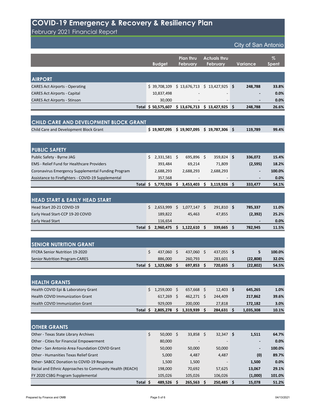February 2021 Financial Report

|                                                    |              | <b>Budget</b>  |              | Plan thru<br><b>February</b> |          | <b>Actuals thru</b><br><b>February</b> |                     | <b>Variance</b> | $\%$<br><b>Spent</b> |
|----------------------------------------------------|--------------|----------------|--------------|------------------------------|----------|----------------------------------------|---------------------|-----------------|----------------------|
| <b>AIRPORT</b>                                     |              |                |              |                              |          |                                        |                     |                 |                      |
| <b>CARES Act Airports - Operating</b>              |              | \$39,708,109   |              | \$13,676,713                 |          | \$13,427,925                           | \$                  | 248,788         | 33.8%                |
| <b>CARES Act Airports - Capital</b>                |              | 10,837,498     |              |                              |          |                                        |                     |                 | 0.0%                 |
| <b>CARES Act Airports - Stinson</b>                |              | 30,000         |              |                              |          |                                        |                     |                 | 0.0%                 |
|                                                    | <b>Total</b> | \$50,575,607   |              | \$13,676,713                 |          | \$13,427,925                           | \$                  | 248,788         | 26.6%                |
|                                                    |              |                |              |                              |          |                                        |                     |                 |                      |
| CHILD CARE AND DEVELOPMENT BLOCK GRANT             |              |                |              |                              |          |                                        |                     |                 |                      |
| Child Care and Development Block Grant             |              | \$19,907,095   |              | \$19,907,095                 |          | \$19,787,306                           | $\ddot{\bm{\zeta}}$ | 119,789         | 99.4%                |
|                                                    |              |                |              |                              |          |                                        |                     |                 |                      |
| <b>PUBLIC SAFETY</b>                               |              |                |              |                              |          |                                        |                     |                 |                      |
| Public Safety - Byrne JAG                          | $\mathsf{S}$ | $2,331,581$ \$ |              | 695,896 \$                   |          | 359,824 \$                             |                     | 336,072         | 15.4%                |
| <b>EMS</b> - Relief Fund for Healthcare Providers  |              | 393,484        |              | 69,214                       |          | 71,809                                 |                     | (2,595)         | 18.2%                |
| Coronavirus Emergency Supplemental Funding Program |              | 2,688,293      |              | 2,688,293                    |          | 2,688,293                              |                     |                 | 100.0%               |
| Assistance to Firefighters - COVID-19 Supplemental |              | 357,568        |              |                              |          |                                        |                     |                 | 0.0%                 |
|                                                    | Total \$     | 5,770,926      |              | 3,453,403                    | \$       | 3,119,926                              | \$                  | 333,477         | 54.1%                |
|                                                    |              |                |              |                              |          |                                        |                     |                 |                      |
| <b>HEAD START &amp; EARLY HEAD START</b>           |              |                |              |                              |          |                                        |                     |                 |                      |
| Head Start 20-21 COVID-19                          | S.           | 2,653,999      | S.           | 1,077,147                    | S        | 291,810                                | $\sqrt{5}$          | 785,337         | 11.0%                |
| Early Head Start-CCP 19-20 COVID                   |              | 189,822        |              | 45,463                       |          | 47,855                                 |                     | (2, 392)        | 25.2%                |
| <b>Early Head Start</b>                            |              | 116,654        |              |                              |          |                                        |                     |                 | 0.0%                 |
|                                                    | Total \$     |                |              | 2,960,475 \$ 1,122,610       | \$       | $339,665$ \$                           |                     | 782,945         | 11.5%                |
|                                                    |              |                |              |                              |          |                                        |                     |                 |                      |
| <b>SENIOR NUTRITION GRANT</b>                      |              |                |              |                              |          |                                        |                     |                 |                      |
| FFCRA Senior Nutrition 19-2020                     | $\zeta$      | 437,060 \$     |              | 437,060 \$                   |          | 437,055 \$                             |                     | 5               | 100.0%               |
| <b>Senior Nutrition Program-CARES</b>              |              | 886,000        |              | 260,793                      |          | 283,601                                |                     | (22, 808)       | 32.0%                |
|                                                    | Total \$     | 1,323,060      | $\mathsf{S}$ | 697,853                      | \$       | 720,655 \$                             |                     | (22, 802)       | 54.5%                |
|                                                    |              |                |              |                              |          |                                        |                     |                 |                      |
| <b>HEALTH GRANTS</b>                               |              |                |              |                              |          |                                        |                     |                 |                      |
| Health COVID Epi & Laboratory Grant                | $\mathsf{S}$ | $1,259,000$ \$ |              | 657,668 \$                   |          | $12,403$ \$                            |                     | 645,265         | 1.0%                 |
| <b>Health COVID Immunization Grant</b>             |              | $617,269$ \$   |              | $462,271$ \$                 |          | 244,409                                |                     | 217,862         | 39.6%                |
| <b>Health COVID Immunization Grant</b>             |              | 929,009        |              | 200,000                      |          | 27,818                                 |                     | 172,182         | 3.0%                 |
|                                                    | Total \$     | 2,805,278 \$   |              | 1,319,939                    | <b>S</b> | 284,631 \$                             |                     | 1,035,308       | 10.1%                |

#### **OTHER GRANTS**

| Other - Texas State Library Archives                     | $50,000$ \$ | 33,858 \$ | 32,347  | 1,511   | 64.7%  |
|----------------------------------------------------------|-------------|-----------|---------|---------|--------|
| Other - Cities for Financial Empowerment                 | 80,000      |           |         |         | 0.0%   |
| Other - San Antonio Area Foundation COVID Grant          | 50,000      | 50,000    | 50,000  |         | 100.0% |
| Other - Humanities Texas Relief Grant                    | 5,000       | 4,487     | 4,487   | (0)     | 89.7%  |
| Other-SABCC Donation to COVID-19 Response                | 1,500       | 1,500     |         | 1,500   | 0.0%   |
| Racial and Ethnic Approaches to Community Health (REACH) | 198,000     | 70,692    | 57,625  | 13,067  | 29.1%  |
| FY 2020 CSBG Program Supplemental                        | 105,026     | 105,026   | 106,026 | (1,000) | 101.0% |
| Total \$                                                 | 489,526     | 265,563   | 250,485 | 15,078  | 51.2%  |

# **COVID-19 Emergency & Recovery & Resiliency Plan**